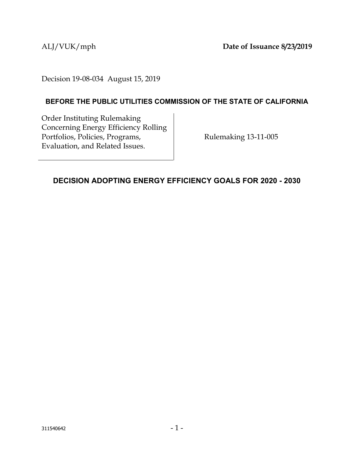ALJ/VUK/mph **Date of Issuance 8/23/2019**

Decision 19-08-034 August 15, 2019

## **BEFORE THE PUBLIC UTILITIES COMMISSION OF THE STATE OF CALIFORNIA**

Order Instituting Rulemaking Concerning Energy Efficiency Rolling Portfolios, Policies, Programs, Evaluation, and Related Issues.

Rulemaking 13-11-005

## <span id="page-0-0"></span>**DECISION ADOPTING ENERGY EFFICIENCY GOALS FOR 2020 - 2030**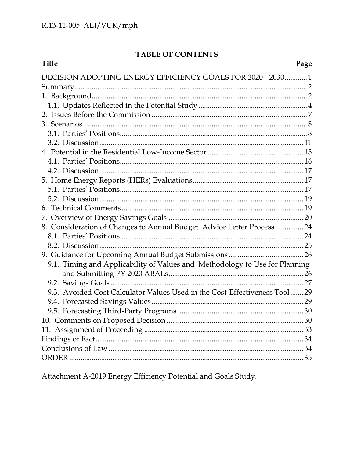## TABLE OF CONTENTS

| Title                                                                       | Page |
|-----------------------------------------------------------------------------|------|
| DECISION ADOPTING ENERGY EFFICIENCY GOALS FOR 2020 - 2030 1                 |      |
|                                                                             |      |
|                                                                             |      |
|                                                                             |      |
|                                                                             |      |
|                                                                             |      |
|                                                                             |      |
|                                                                             |      |
|                                                                             |      |
|                                                                             |      |
|                                                                             |      |
|                                                                             |      |
|                                                                             |      |
|                                                                             |      |
|                                                                             |      |
|                                                                             |      |
| 8. Consideration of Changes to Annual Budget Advice Letter Process 24       |      |
|                                                                             |      |
|                                                                             |      |
|                                                                             |      |
| 9.1. Timing and Applicability of Values and Methodology to Use for Planning |      |
|                                                                             |      |
|                                                                             |      |
| 9.3. Avoided Cost Calculator Values Used in the Cost-Effectiveness Tool29   |      |
|                                                                             |      |
|                                                                             |      |
|                                                                             | 30   |
|                                                                             |      |
|                                                                             |      |
|                                                                             |      |
|                                                                             |      |
|                                                                             |      |

Attachment A-2019 Energy Efficiency Potential and Goals Study.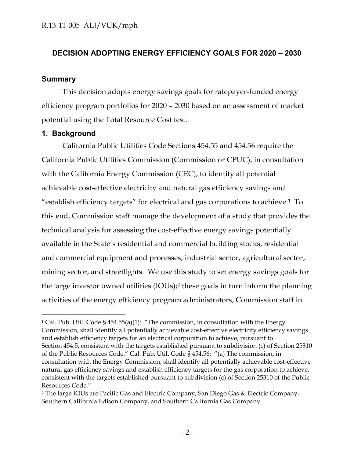## **DECISION ADOPTING ENERGY EFFICIENCY GOALS FOR 2020 – 2030**

## <span id="page-2-0"></span>**Summary**

This decision adopts energy savings goals for ratepayer-funded energy efficiency program portfolios for 2020 – 2030 based on an assessment of market potential using the Total Resource Cost test.

## <span id="page-2-1"></span>**1. Background**

 $\overline{a}$ 

California Public Utilities Code Sections 454.55 and 454.56 require the California Public Utilities Commission (Commission or CPUC), in consultation with the California Energy Commission (CEC), to identify all potential achievable cost-effective electricity and natural gas efficiency savings and "establish efficiency targets" for electrical and gas corporations to achieve.1 To this end, Commission staff manage the development of a study that provides the technical analysis for assessing the cost-effective energy savings potentially available in the State's residential and commercial building stocks, residential and commercial equipment and processes, industrial sector, agricultural sector, mining sector, and streetlights. We use this study to set energy savings goals for the large investor owned utilities (IOUs);<sup>2</sup> these goals in turn inform the planning activities of the energy efficiency program administrators, Commission staff in

<sup>&</sup>lt;sup>1</sup> Cal. Pub. Util. Code §  $454.55(a)(1)$ : "The commission, in consultation with the Energy Commission, shall identify all potentially achievable cost-effective electricity efficiency savings and establish efficiency targets for an electrical corporation to achieve, pursuant to Section 454.5, consistent with the targets established pursuant to subdivision (c) of Section 25310 of the Public Resources Code." Cal. Pub. Util. Code § 454.56: "(a) The commission, in consultation with the Energy Commission, shall identify all potentially achievable cost-effective natural gas efficiency savings and establish efficiency targets for the gas corporation to achieve, consistent with the targets established pursuant to subdivision (c) of Section 25310 of the Public Resources Code."

<sup>2</sup> The large IOUs are Pacific Gas and Electric Company, San Diego Gas & Electric Company, Southern California Edison Company, and Southern California Gas Company.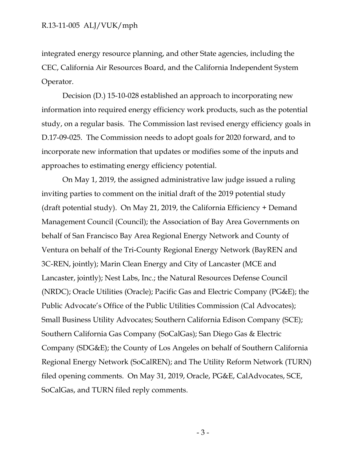integrated energy resource planning, and other State agencies, including the CEC, California Air Resources Board, and the California Independent System Operator.

Decision (D.) 15-10-028 established an approach to incorporating new information into required energy efficiency work products, such as the potential study, on a regular basis. The Commission last revised energy efficiency goals in D.17-09-025. The Commission needs to adopt goals for 2020 forward, and to incorporate new information that updates or modifies some of the inputs and approaches to estimating energy efficiency potential.

On May 1, 2019, the assigned administrative law judge issued a ruling inviting parties to comment on the initial draft of the 2019 potential study (draft potential study). On May 21, 2019, the California Efficiency + Demand Management Council (Council); the Association of Bay Area Governments on behalf of San Francisco Bay Area Regional Energy Network and County of Ventura on behalf of the Tri-County Regional Energy Network (BayREN and 3C-REN, jointly); Marin Clean Energy and City of Lancaster (MCE and Lancaster, jointly); Nest Labs, Inc.; the Natural Resources Defense Council (NRDC); Oracle Utilities (Oracle); Pacific Gas and Electric Company (PG&E); the Public Advocate's Office of the Public Utilities Commission (Cal Advocates); Small Business Utility Advocates; Southern California Edison Company (SCE); Southern California Gas Company (SoCalGas); San Diego Gas & Electric Company (SDG&E); the County of Los Angeles on behalf of Southern California Regional Energy Network (SoCalREN); and The Utility Reform Network (TURN) filed opening comments. On May 31, 2019, Oracle, PG&E, CalAdvocates, SCE, SoCalGas, and TURN filed reply comments.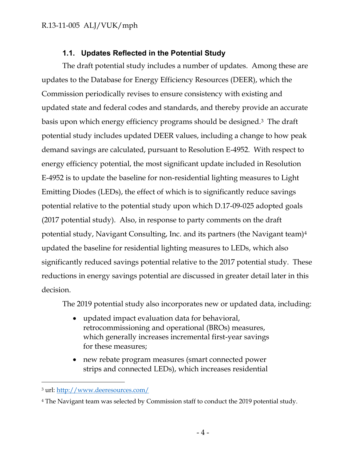## **1.1. Updates Reflected in the Potential Study**

<span id="page-4-0"></span>The draft potential study includes a number of updates. Among these are updates to the Database for Energy Efficiency Resources (DEER), which the Commission periodically revises to ensure consistency with existing and updated state and federal codes and standards, and thereby provide an accurate basis upon which energy efficiency programs should be designed.3 The draft potential study includes updated DEER values, including a change to how peak demand savings are calculated, pursuant to Resolution E-4952. With respect to energy efficiency potential, the most significant update included in Resolution E-4952 is to update the baseline for non-residential lighting measures to Light Emitting Diodes (LEDs), the effect of which is to significantly reduce savings potential relative to the potential study upon which D.17-09-025 adopted goals (2017 potential study). Also, in response to party comments on the draft potential study, Navigant Consulting, Inc. and its partners (the Navigant team)<sup>4</sup> updated the baseline for residential lighting measures to LEDs, which also significantly reduced savings potential relative to the 2017 potential study. These reductions in energy savings potential are discussed in greater detail later in this decision.

The 2019 potential study also incorporates new or updated data, including:

- updated impact evaluation data for behavioral, retrocommissioning and operational (BROs) measures, which generally increases incremental first-year savings for these measures;
- new rebate program measures (smart connected power strips and connected LEDs), which increases residential

<sup>3</sup> url:<http://www.deeresources.com/>

<sup>4</sup> The Navigant team was selected by Commission staff to conduct the 2019 potential study.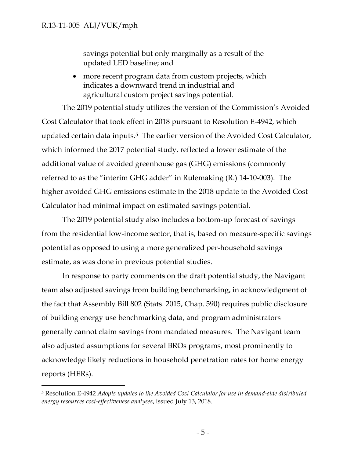$\overline{a}$ 

savings potential but only marginally as a result of the updated LED baseline; and

• more recent program data from custom projects, which indicates a downward trend in industrial and agricultural custom project savings potential.

The 2019 potential study utilizes the version of the Commission's Avoided Cost Calculator that took effect in 2018 pursuant to Resolution E-4942, which updated certain data inputs.5 The earlier version of the Avoided Cost Calculator, which informed the 2017 potential study, reflected a lower estimate of the additional value of avoided greenhouse gas (GHG) emissions (commonly referred to as the "interim GHG adder" in Rulemaking (R.) 14-10-003). The higher avoided GHG emissions estimate in the 2018 update to the Avoided Cost Calculator had minimal impact on estimated savings potential.

The 2019 potential study also includes a bottom-up forecast of savings from the residential low-income sector, that is, based on measure-specific savings potential as opposed to using a more generalized per-household savings estimate, as was done in previous potential studies.

In response to party comments on the draft potential study, the Navigant team also adjusted savings from building benchmarking, in acknowledgment of the fact that Assembly Bill 802 (Stats. 2015, Chap. 590) requires public disclosure of building energy use benchmarking data, and program administrators generally cannot claim savings from mandated measures. The Navigant team also adjusted assumptions for several BROs programs, most prominently to acknowledge likely reductions in household penetration rates for home energy reports (HERs).

<sup>5</sup> Resolution E-4942 *Adopts updates to the Avoided Cost Calculator for use in demand-side distributed energy resources cost-effectiveness analyses*, issued July 13, 2018.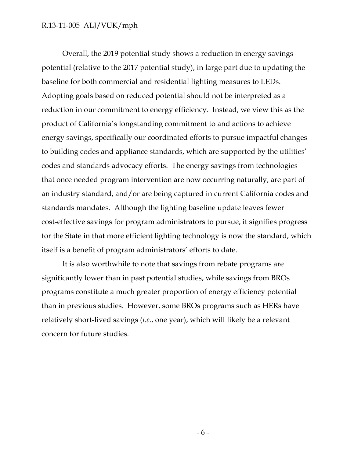Overall, the 2019 potential study shows a reduction in energy savings potential (relative to the 2017 potential study), in large part due to updating the baseline for both commercial and residential lighting measures to LEDs. Adopting goals based on reduced potential should not be interpreted as a reduction in our commitment to energy efficiency. Instead, we view this as the product of California's longstanding commitment to and actions to achieve energy savings, specifically our coordinated efforts to pursue impactful changes to building codes and appliance standards, which are supported by the utilities' codes and standards advocacy efforts. The energy savings from technologies that once needed program intervention are now occurring naturally, are part of an industry standard, and/or are being captured in current California codes and standards mandates. Although the lighting baseline update leaves fewer cost-effective savings for program administrators to pursue, it signifies progress for the State in that more efficient lighting technology is now the standard, which itself is a benefit of program administrators' efforts to date.

It is also worthwhile to note that savings from rebate programs are significantly lower than in past potential studies, while savings from BROs programs constitute a much greater proportion of energy efficiency potential than in previous studies. However, some BROs programs such as HERs have relatively short-lived savings (*i.e*., one year), which will likely be a relevant concern for future studies.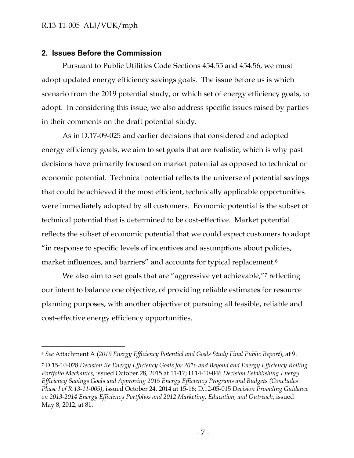$\overline{a}$ 

#### <span id="page-7-0"></span>**2. Issues Before the Commission**

Pursuant to Public Utilities Code Sections 454.55 and 454.56, we must adopt updated energy efficiency savings goals. The issue before us is which scenario from the 2019 potential study, or which set of energy efficiency goals, to adopt. In considering this issue, we also address specific issues raised by parties in their comments on the draft potential study.

As in D.17-09-025 and earlier decisions that considered and adopted energy efficiency goals, we aim to set goals that are realistic, which is why past decisions have primarily focused on market potential as opposed to technical or economic potential. Technical potential reflects the universe of potential savings that could be achieved if the most efficient, technically applicable opportunities were immediately adopted by all customers. Economic potential is the subset of technical potential that is determined to be cost-effective. Market potential reflects the subset of economic potential that we could expect customers to adopt "in response to specific levels of incentives and assumptions about policies, market influences, and barriers" and accounts for typical replacement. 6

We also aim to set goals that are "aggressive yet achievable,"7 reflecting our intent to balance one objective, of providing reliable estimates for resource planning purposes, with another objective of pursuing all feasible, reliable and cost-effective energy efficiency opportunities.

<sup>6</sup> *See* Attachment A (*2019 Energy Efficiency Potential and Goals Study Final Public Report*), at 9.

<sup>7</sup> D.15-10-028 *Decision Re Energy Efficiency Goals for 2016 and Beyond and Energy Efficiency Rolling Portfolio Mechanics*, issued October 28, 2015 at 11-17; D.14-10-046 *Decision Establishing Energy Efficiency Savings Goals and Approving 2015 Energy Efficiency Programs and Budgets (Concludes Phase I of R.13-11-005)*, issued October 24, 2014 at 15-16; D.12-05-015 *Decision Providing Guidance on 2013-2014 Energy Efficiency Portfolios and 2012 Marketing, Education, and Outreach*, issued May 8, 2012, at 81.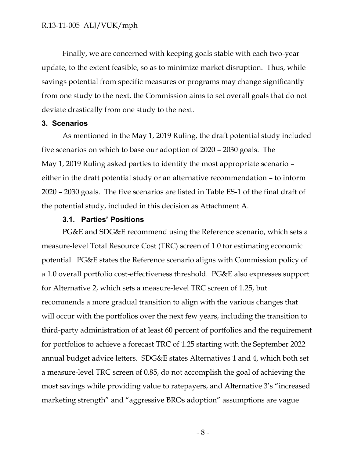Finally, we are concerned with keeping goals stable with each two-year update, to the extent feasible, so as to minimize market disruption. Thus, while savings potential from specific measures or programs may change significantly from one study to the next, the Commission aims to set overall goals that do not deviate drastically from one study to the next.

#### <span id="page-8-0"></span>**3. Scenarios**

As mentioned in the May 1, 2019 Ruling, the draft potential study included five scenarios on which to base our adoption of 2020 – 2030 goals. The May 1, 2019 Ruling asked parties to identify the most appropriate scenario – either in the draft potential study or an alternative recommendation – to inform 2020 – 2030 goals. The five scenarios are listed in Table ES-1 of the final draft of the potential study, included in this decision as Attachment A.

#### **3.1. Parties' Positions**

<span id="page-8-1"></span>PG&E and SDG&E recommend using the Reference scenario, which sets a measure-level Total Resource Cost (TRC) screen of 1.0 for estimating economic potential. PG&E states the Reference scenario aligns with Commission policy of a 1.0 overall portfolio cost-effectiveness threshold. PG&E also expresses support for Alternative 2, which sets a measure-level TRC screen of 1.25, but recommends a more gradual transition to align with the various changes that will occur with the portfolios over the next few years, including the transition to third-party administration of at least 60 percent of portfolios and the requirement for portfolios to achieve a forecast TRC of 1.25 starting with the September 2022 annual budget advice letters. SDG&E states Alternatives 1 and 4, which both set a measure-level TRC screen of 0.85, do not accomplish the goal of achieving the most savings while providing value to ratepayers, and Alternative 3's "increased marketing strength" and "aggressive BROs adoption" assumptions are vague

- 8 -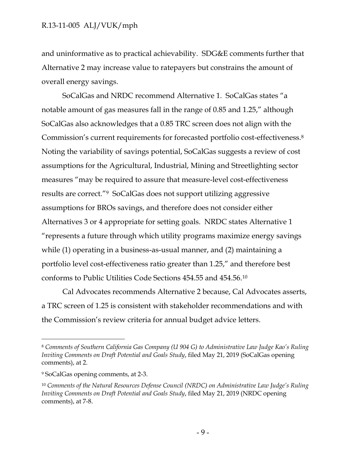and uninformative as to practical achievability. SDG&E comments further that Alternative 2 may increase value to ratepayers but constrains the amount of overall energy savings.

SoCalGas and NRDC recommend Alternative 1. SoCalGas states "a notable amount of gas measures fall in the range of 0.85 and 1.25," although SoCalGas also acknowledges that a 0.85 TRC screen does not align with the Commission's current requirements for forecasted portfolio cost-effectiveness.<sup>8</sup> Noting the variability of savings potential, SoCalGas suggests a review of cost assumptions for the Agricultural, Industrial, Mining and Streetlighting sector measures "may be required to assure that measure-level cost-effectiveness results are correct."9 SoCalGas does not support utilizing aggressive assumptions for BROs savings, and therefore does not consider either Alternatives 3 or 4 appropriate for setting goals. NRDC states Alternative 1 "represents a future through which utility programs maximize energy savings while (1) operating in a business-as-usual manner, and (2) maintaining a portfolio level cost-effectiveness ratio greater than 1.25," and therefore best conforms to Public Utilities Code Sections 454.55 and 454.56.<sup>10</sup>

Cal Advocates recommends Alternative 2 because, Cal Advocates asserts, a TRC screen of 1.25 is consistent with stakeholder recommendations and with the Commission's review criteria for annual budget advice letters.

<sup>8</sup> *Comments of Southern California Gas Company (U 904 G) to Administrative Law Judge Kao's Ruling Inviting Comments on Draft Potential and Goals Study*, filed May 21, 2019 (SoCalGas opening comments), at 2.

<sup>9</sup> SoCalGas opening comments, at 2-3.

<sup>10</sup> *Comments of the Natural Resources Defense Council (NRDC) on Administrative Law Judge's Ruling Inviting Comments on Draft Potential and Goals Study*, filed May 21, 2019 (NRDC opening comments), at 7-8.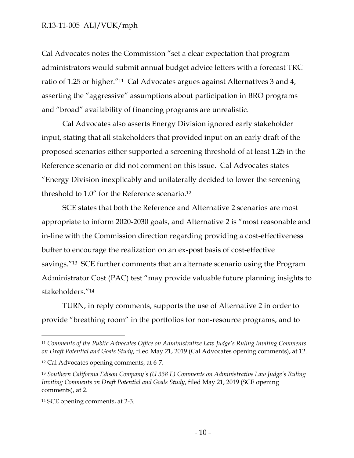Cal Advocates notes the Commission "set a clear expectation that program administrators would submit annual budget advice letters with a forecast TRC ratio of 1.25 or higher."11 Cal Advocates argues against Alternatives 3 and 4, asserting the "aggressive" assumptions about participation in BRO programs and "broad" availability of financing programs are unrealistic.

Cal Advocates also asserts Energy Division ignored early stakeholder input, stating that all stakeholders that provided input on an early draft of the proposed scenarios either supported a screening threshold of at least 1.25 in the Reference scenario or did not comment on this issue. Cal Advocates states "Energy Division inexplicably and unilaterally decided to lower the screening threshold to 1.0" for the Reference scenario.<sup>12</sup>

SCE states that both the Reference and Alternative 2 scenarios are most appropriate to inform 2020-2030 goals, and Alternative 2 is "most reasonable and in-line with the Commission direction regarding providing a cost-effectiveness buffer to encourage the realization on an ex-post basis of cost-effective savings."13 SCE further comments that an alternate scenario using the Program Administrator Cost (PAC) test "may provide valuable future planning insights to stakeholders."<sup>14</sup>

TURN, in reply comments, supports the use of Alternative 2 in order to provide "breathing room" in the portfolios for non-resource programs, and to

<sup>11</sup> *Comments of the Public Advocates Office on Administrative Law Judge's Ruling Inviting Comments on Draft Potential and Goals Study*, filed May 21, 2019 (Cal Advocates opening comments), at 12.

<sup>12</sup> Cal Advocates opening comments, at 6-7.

<sup>13</sup> *Southern California Edison Company's (U 338 E) Comments on Administrative Law Judge's Ruling Inviting Comments on Draft Potential and Goals Study*, filed May 21, 2019 (SCE opening comments), at 2.

<sup>14</sup> SCE opening comments, at 2-3.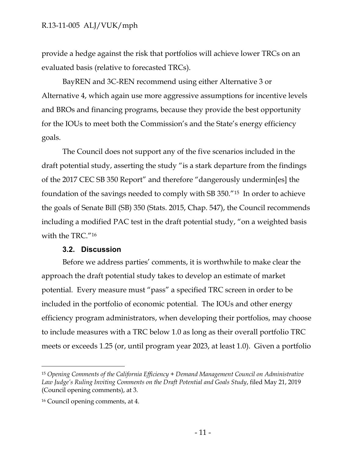provide a hedge against the risk that portfolios will achieve lower TRCs on an evaluated basis (relative to forecasted TRCs).

BayREN and 3C-REN recommend using either Alternative 3 or Alternative 4, which again use more aggressive assumptions for incentive levels and BROs and financing programs, because they provide the best opportunity for the IOUs to meet both the Commission's and the State's energy efficiency goals.

The Council does not support any of the five scenarios included in the draft potential study, asserting the study "is a stark departure from the findings of the 2017 CEC SB 350 Report" and therefore "dangerously undermin[es] the foundation of the savings needed to comply with SB 350."15 In order to achieve the goals of Senate Bill (SB) 350 (Stats. 2015, Chap. 547), the Council recommends including a modified PAC test in the draft potential study, "on a weighted basis with the TRC."<sup>16</sup>

#### **3.2. Discussion**

<span id="page-11-0"></span>Before we address parties' comments, it is worthwhile to make clear the approach the draft potential study takes to develop an estimate of market potential. Every measure must "pass" a specified TRC screen in order to be included in the portfolio of economic potential. The IOUs and other energy efficiency program administrators, when developing their portfolios, may choose to include measures with a TRC below 1.0 as long as their overall portfolio TRC meets or exceeds 1.25 (or, until program year 2023, at least 1.0). Given a portfolio

<sup>15</sup> *Opening Comments of the California Efficiency + Demand Management Council on Administrative Law Judge's Ruling Inviting Comments on the Draft Potential and Goals Study*, filed May 21, 2019 (Council opening comments), at 3.

<sup>16</sup> Council opening comments, at 4.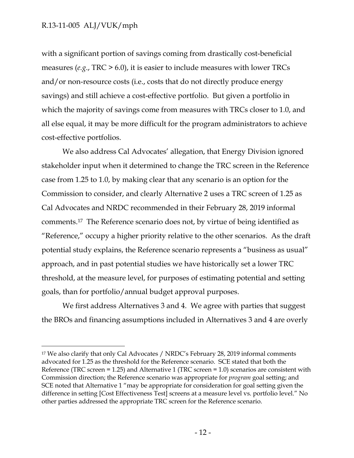$\overline{a}$ 

with a significant portion of savings coming from drastically cost-beneficial measures (*e.g*., TRC > 6.0), it is easier to include measures with lower TRCs and/or non-resource costs (i.e., costs that do not directly produce energy savings) and still achieve a cost-effective portfolio. But given a portfolio in which the majority of savings come from measures with TRCs closer to 1.0, and all else equal, it may be more difficult for the program administrators to achieve cost-effective portfolios.

We also address Cal Advocates' allegation, that Energy Division ignored stakeholder input when it determined to change the TRC screen in the Reference case from 1.25 to 1.0, by making clear that any scenario is an option for the Commission to consider, and clearly Alternative 2 uses a TRC screen of 1.25 as Cal Advocates and NRDC recommended in their February 28, 2019 informal comments.17 The Reference scenario does not, by virtue of being identified as "Reference," occupy a higher priority relative to the other scenarios. As the draft potential study explains, the Reference scenario represents a "business as usual" approach, and in past potential studies we have historically set a lower TRC threshold, at the measure level, for purposes of estimating potential and setting goals, than for portfolio/annual budget approval purposes.

We first address Alternatives 3 and 4. We agree with parties that suggest the BROs and financing assumptions included in Alternatives 3 and 4 are overly

<sup>&</sup>lt;sup>17</sup> We also clarify that only Cal Advocates / NRDC's February 28, 2019 informal comments advocated for 1.25 as the threshold for the Reference scenario. SCE stated that both the Reference (TRC screen = 1.25) and Alternative 1 (TRC screen = 1.0) scenarios are consistent with Commission direction; the Reference scenario was appropriate for *program* goal setting; and SCE noted that Alternative 1 "may be appropriate for consideration for goal setting given the difference in setting [Cost Effectiveness Test] screens at a measure level vs. portfolio level." No other parties addressed the appropriate TRC screen for the Reference scenario.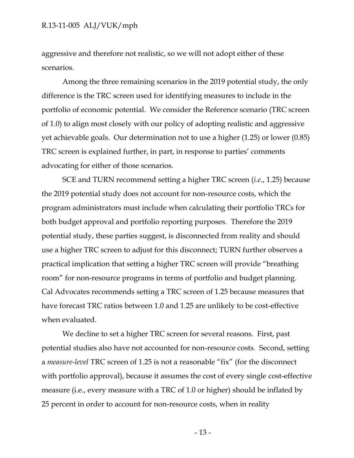aggressive and therefore not realistic, so we will not adopt either of these scenarios.

Among the three remaining scenarios in the 2019 potential study, the only difference is the TRC screen used for identifying measures to include in the portfolio of economic potential. We consider the Reference scenario (TRC screen of 1.0) to align most closely with our policy of adopting realistic and aggressive yet achievable goals. Our determination not to use a higher (1.25) or lower (0.85) TRC screen is explained further, in part, in response to parties' comments advocating for either of those scenarios.

SCE and TURN recommend setting a higher TRC screen (*i.e*., 1.25) because the 2019 potential study does not account for non-resource costs, which the program administrators must include when calculating their portfolio TRCs for both budget approval and portfolio reporting purposes. Therefore the 2019 potential study, these parties suggest, is disconnected from reality and should use a higher TRC screen to adjust for this disconnect; TURN further observes a practical implication that setting a higher TRC screen will provide "breathing room" for non-resource programs in terms of portfolio and budget planning. Cal Advocates recommends setting a TRC screen of 1.25 because measures that have forecast TRC ratios between 1.0 and 1.25 are unlikely to be cost-effective when evaluated.

We decline to set a higher TRC screen for several reasons. First, past potential studies also have not accounted for non-resource costs. Second, setting a *measure-level* TRC screen of 1.25 is not a reasonable "fix" (for the disconnect with portfolio approval), because it assumes the cost of every single cost-effective measure (i.e., every measure with a TRC of 1.0 or higher) should be inflated by 25 percent in order to account for non-resource costs, when in reality

- 13 -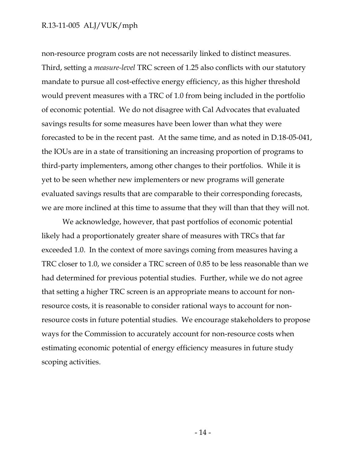non-resource program costs are not necessarily linked to distinct measures. Third, setting a *measure-level* TRC screen of 1.25 also conflicts with our statutory mandate to pursue all cost-effective energy efficiency, as this higher threshold would prevent measures with a TRC of 1.0 from being included in the portfolio of economic potential. We do not disagree with Cal Advocates that evaluated savings results for some measures have been lower than what they were forecasted to be in the recent past. At the same time, and as noted in D.18-05-041, the IOUs are in a state of transitioning an increasing proportion of programs to third-party implementers, among other changes to their portfolios. While it is yet to be seen whether new implementers or new programs will generate evaluated savings results that are comparable to their corresponding forecasts, we are more inclined at this time to assume that they will than that they will not.

We acknowledge, however, that past portfolios of economic potential likely had a proportionately greater share of measures with TRCs that far exceeded 1.0. In the context of more savings coming from measures having a TRC closer to 1.0, we consider a TRC screen of 0.85 to be less reasonable than we had determined for previous potential studies. Further, while we do not agree that setting a higher TRC screen is an appropriate means to account for nonresource costs, it is reasonable to consider rational ways to account for nonresource costs in future potential studies. We encourage stakeholders to propose ways for the Commission to accurately account for non-resource costs when estimating economic potential of energy efficiency measures in future study scoping activities.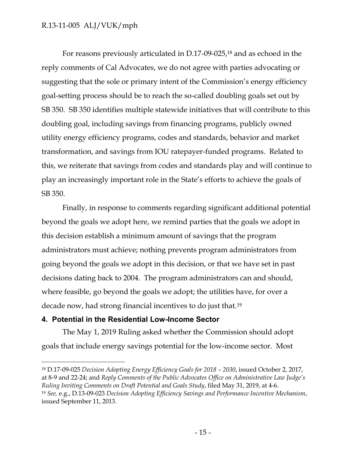For reasons previously articulated in D.17-09-025,<sup>18</sup> and as echoed in the reply comments of Cal Advocates, we do not agree with parties advocating or suggesting that the sole or primary intent of the Commission's energy efficiency goal-setting process should be to reach the so-called doubling goals set out by SB 350. SB 350 identifies multiple statewide initiatives that will contribute to this doubling goal, including savings from financing programs, publicly owned utility energy efficiency programs, codes and standards, behavior and market transformation, and savings from IOU ratepayer-funded programs. Related to this, we reiterate that savings from codes and standards play and will continue to play an increasingly important role in the State's efforts to achieve the goals of SB 350.

Finally, in response to comments regarding significant additional potential beyond the goals we adopt here, we remind parties that the goals we adopt in this decision establish a minimum amount of savings that the program administrators must achieve; nothing prevents program administrators from going beyond the goals we adopt in this decision, or that we have set in past decisions dating back to 2004. The program administrators can and should, where feasible, go beyond the goals we adopt; the utilities have, for over a decade now, had strong financial incentives to do just that. 19

#### <span id="page-15-0"></span>**4. Potential in the Residential Low-Income Sector**

 $\overline{a}$ 

The May 1, 2019 Ruling asked whether the Commission should adopt goals that include energy savings potential for the low-income sector. Most

<sup>18</sup> D.17-09-025 *Decision Adopting Energy Efficiency Goals for 2018 – 2030*, issued October 2, 2017, at 8-9 and 22-24; and *Reply Comments of the Public Advocates Office on Administrative Law Judge's Ruling Inviting Comments on Draft Potential and Goals Study*, filed May 31, 2019, at 4-6. <sup>19</sup> *See,* e.g., D.13-09-023 *Decision Adopting Efficiency Savings and Performance Incentive Mechanism*, issued September 11, 2013.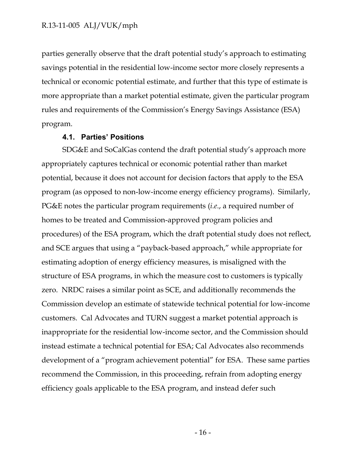parties generally observe that the draft potential study's approach to estimating savings potential in the residential low-income sector more closely represents a technical or economic potential estimate, and further that this type of estimate is more appropriate than a market potential estimate, given the particular program rules and requirements of the Commission's Energy Savings Assistance (ESA) program.

#### **4.1. Parties' Positions**

<span id="page-16-0"></span>SDG&E and SoCalGas contend the draft potential study's approach more appropriately captures technical or economic potential rather than market potential, because it does not account for decision factors that apply to the ESA program (as opposed to non-low-income energy efficiency programs). Similarly, PG&E notes the particular program requirements (*i.e*., a required number of homes to be treated and Commission-approved program policies and procedures) of the ESA program, which the draft potential study does not reflect, and SCE argues that using a "payback-based approach," while appropriate for estimating adoption of energy efficiency measures, is misaligned with the structure of ESA programs, in which the measure cost to customers is typically zero. NRDC raises a similar point as SCE, and additionally recommends the Commission develop an estimate of statewide technical potential for low-income customers. Cal Advocates and TURN suggest a market potential approach is inappropriate for the residential low-income sector, and the Commission should instead estimate a technical potential for ESA; Cal Advocates also recommends development of a "program achievement potential" for ESA. These same parties recommend the Commission, in this proceeding, refrain from adopting energy efficiency goals applicable to the ESA program, and instead defer such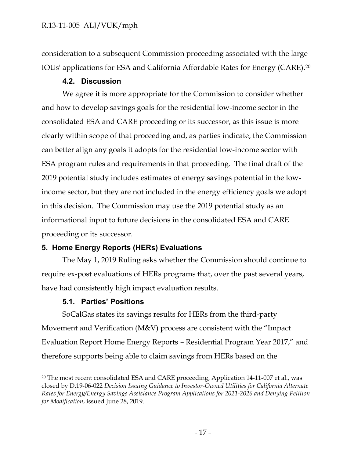consideration to a subsequent Commission proceeding associated with the large IOUs' applications for ESA and California Affordable Rates for Energy (CARE). 20

## **4.2. Discussion**

<span id="page-17-0"></span>We agree it is more appropriate for the Commission to consider whether and how to develop savings goals for the residential low-income sector in the consolidated ESA and CARE proceeding or its successor, as this issue is more clearly within scope of that proceeding and, as parties indicate, the Commission can better align any goals it adopts for the residential low-income sector with ESA program rules and requirements in that proceeding. The final draft of the 2019 potential study includes estimates of energy savings potential in the lowincome sector, but they are not included in the energy efficiency goals we adopt in this decision. The Commission may use the 2019 potential study as an informational input to future decisions in the consolidated ESA and CARE proceeding or its successor.

## <span id="page-17-1"></span>**5. Home Energy Reports (HERs) Evaluations**

The May 1, 2019 Ruling asks whether the Commission should continue to require ex-post evaluations of HERs programs that, over the past several years, have had consistently high impact evaluation results.

## **5.1. Parties' Positions**

 $\overline{a}$ 

<span id="page-17-2"></span>SoCalGas states its savings results for HERs from the third-party Movement and Verification (M&V) process are consistent with the "Impact Evaluation Report Home Energy Reports – Residential Program Year 2017," and therefore supports being able to claim savings from HERs based on the

<sup>&</sup>lt;sup>20</sup> The most recent consolidated ESA and CARE proceeding, Application 14-11-007 et al., was closed by D.19-06-022 *Decision Issuing Guidance to Investor-Owned Utilities for California Alternate Rates for Energy/Energy Savings Assistance Program Applications for 2021-2026 and Denying Petition for Modification*, issued June 28, 2019.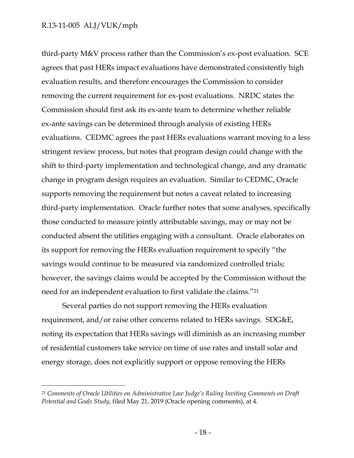$\overline{a}$ 

third-party M&V process rather than the Commission's ex-post evaluation. SCE agrees that past HERs impact evaluations have demonstrated consistently high evaluation results, and therefore encourages the Commission to consider removing the current requirement for ex-post evaluations. NRDC states the Commission should first ask its ex-ante team to determine whether reliable ex-ante savings can be determined through analysis of existing HERs evaluations. CEDMC agrees the past HERs evaluations warrant moving to a less stringent review process, but notes that program design could change with the shift to third-party implementation and technological change, and any dramatic change in program design requires an evaluation. Similar to CEDMC, Oracle supports removing the requirement but notes a caveat related to increasing third-party implementation. Oracle further notes that some analyses, specifically those conducted to measure jointly attributable savings, may or may not be conducted absent the utilities engaging with a consultant. Oracle elaborates on its support for removing the HERs evaluation requirement to specify "the savings would continue to be measured via randomized controlled trials; however, the savings claims would be accepted by the Commission without the need for an independent evaluation to first validate the claims."<sup>21</sup>

Several parties do not support removing the HERs evaluation requirement, and/or raise other concerns related to HERs savings. SDG&E, noting its expectation that HERs savings will diminish as an increasing number of residential customers take service on time of use rates and install solar and energy storage, does not explicitly support or oppose removing the HERs

<sup>21</sup> *Comments of Oracle Utilities on Administrative Law Judge's Ruling Inviting Comments on Draft Potential and Goals Study*, filed May 21, 2019 (Oracle opening comments), at 4.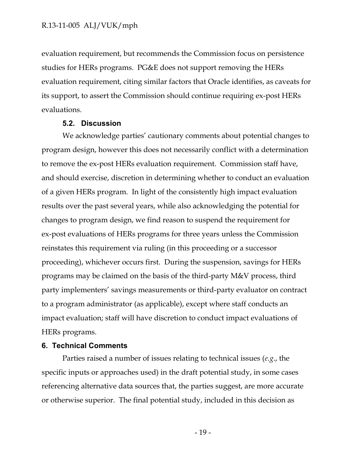evaluation requirement, but recommends the Commission focus on persistence studies for HERs programs. PG&E does not support removing the HERs evaluation requirement, citing similar factors that Oracle identifies, as caveats for its support, to assert the Commission should continue requiring ex-post HERs evaluations.

#### **5.2. Discussion**

<span id="page-19-0"></span>We acknowledge parties' cautionary comments about potential changes to program design, however this does not necessarily conflict with a determination to remove the ex-post HERs evaluation requirement. Commission staff have, and should exercise, discretion in determining whether to conduct an evaluation of a given HERs program. In light of the consistently high impact evaluation results over the past several years, while also acknowledging the potential for changes to program design, we find reason to suspend the requirement for ex-post evaluations of HERs programs for three years unless the Commission reinstates this requirement via ruling (in this proceeding or a successor proceeding), whichever occurs first. During the suspension, savings for HERs programs may be claimed on the basis of the third-party M&V process, third party implementers' savings measurements or third-party evaluator on contract to a program administrator (as applicable), except where staff conducts an impact evaluation; staff will have discretion to conduct impact evaluations of HERs programs.

#### <span id="page-19-1"></span>**6. Technical Comments**

Parties raised a number of issues relating to technical issues (*e.g*., the specific inputs or approaches used) in the draft potential study, in some cases referencing alternative data sources that, the parties suggest, are more accurate or otherwise superior. The final potential study, included in this decision as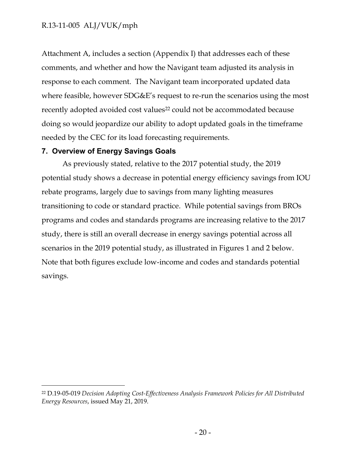Attachment A, includes a section (Appendix I) that addresses each of these comments, and whether and how the Navigant team adjusted its analysis in response to each comment. The Navigant team incorporated updated data where feasible, however SDG&E's request to re-run the scenarios using the most recently adopted avoided cost values<sup>22</sup> could not be accommodated because doing so would jeopardize our ability to adopt updated goals in the timeframe needed by the CEC for its load forecasting requirements.

#### <span id="page-20-0"></span>**7. Overview of Energy Savings Goals**

 $\overline{a}$ 

As previously stated, relative to the 2017 potential study, the 2019 potential study shows a decrease in potential energy efficiency savings from IOU rebate programs, largely due to savings from many lighting measures transitioning to code or standard practice. While potential savings from BROs programs and codes and standards programs are increasing relative to the 2017 study, there is still an overall decrease in energy savings potential across all scenarios in the 2019 potential study, as illustrated in Figures 1 and 2 below. Note that both figures exclude low-income and codes and standards potential savings.

<sup>22</sup> D.19-05-019 *Decision Adopting Cost-Effectiveness Analysis Framework Policies for All Distributed Energy Resources*, issued May 21, 2019.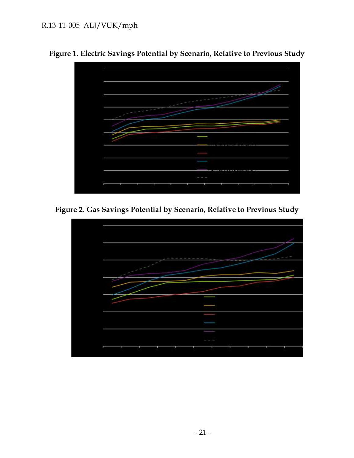

**Figure 1. Electric Savings Potential by Scenario, Relative to Previous Study**

**Figure 2. Gas Savings Potential by Scenario, Relative to Previous Study**

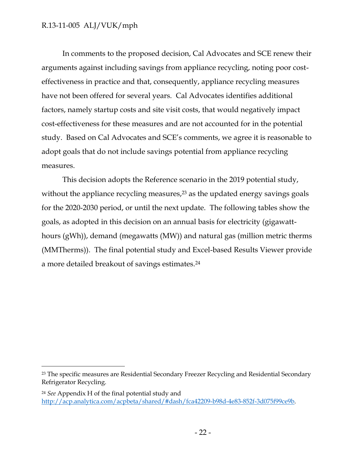$\overline{a}$ 

In comments to the proposed decision, Cal Advocates and SCE renew their arguments against including savings from appliance recycling, noting poor costeffectiveness in practice and that, consequently, appliance recycling measures have not been offered for several years. Cal Advocates identifies additional factors, namely startup costs and site visit costs, that would negatively impact cost-effectiveness for these measures and are not accounted for in the potential study. Based on Cal Advocates and SCE's comments, we agree it is reasonable to adopt goals that do not include savings potential from appliance recycling measures.

This decision adopts the Reference scenario in the 2019 potential study, without the appliance recycling measures,<sup>23</sup> as the updated energy savings goals for the 2020-2030 period, or until the next update. The following tables show the goals, as adopted in this decision on an annual basis for electricity (gigawatthours (gWh)), demand (megawatts (MW)) and natural gas (million metric therms (MMTherms)). The final potential study and Excel-based Results Viewer provide a more detailed breakout of savings estimates.<sup>24</sup>

<sup>&</sup>lt;sup>23</sup> The specific measures are Residential Secondary Freezer Recycling and Residential Secondary Refrigerator Recycling.

<sup>24</sup> *See* Appendix H of the final potential study and [http://acp.analytica.com/acpbeta/shared/#dash/fca42209-b98d-4e83-852f-3d075f99ce9b.](http://acp.analytica.com/acpbeta/shared/#dash/fca42209-b98d-4e83-852f-3d075f99ce9b)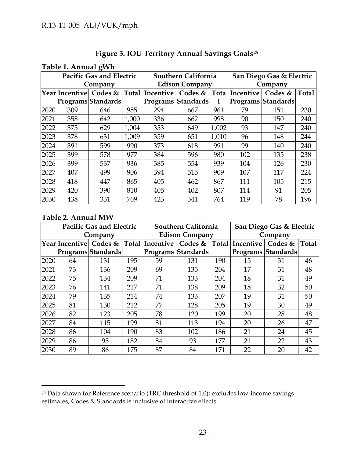| Figure 3. IOU Territory Annual Savings Goals <sup>25</sup> |  |  |  |
|------------------------------------------------------------|--|--|--|
|                                                            |  |  |  |

| Table 1. Annual gWh |  |  |
|---------------------|--|--|
|---------------------|--|--|

|      | <b>Pacific Gas and Electric</b> |                    |       | Southern California   |                                                                      |       | San Diego Gas & Electric |                           |       |  |
|------|---------------------------------|--------------------|-------|-----------------------|----------------------------------------------------------------------|-------|--------------------------|---------------------------|-------|--|
|      |                                 | Company            |       | <b>Edison Company</b> |                                                                      |       | Company                  |                           |       |  |
|      |                                 |                    |       |                       | Year Incentive  Codes &  Total Incentive   Codes &  Tota   Incentive |       |                          | Codes $&$                 | Total |  |
|      |                                 | Programs Standards |       |                       | <b>Programs Standards</b>                                            | 1     |                          | <b>Programs Standards</b> |       |  |
| 2020 | 309                             | 646                | 955   | 294                   | 667                                                                  | 961   | 79                       | 151                       | 230   |  |
| 2021 | 358                             | 642                | 1,000 | 336                   | 662                                                                  | 998   | 90                       | 150                       | 240   |  |
| 2022 | 375                             | 629                | 1,004 | 353                   | 649                                                                  | 1,002 | 93                       | 147                       | 240   |  |
| 2023 | 378                             | 631                | 1,009 | 359                   | 651                                                                  | 1,010 | 96                       | 148                       | 244   |  |
| 2024 | 391                             | 599                | 990   | 373                   | 618                                                                  | 991   | 99                       | 140                       | 240   |  |
| 2025 | 399                             | 578                | 977   | 384                   | 596                                                                  | 980   | 102                      | 135                       | 238   |  |
| 2026 | 399                             | 537                | 936   | 385                   | 554                                                                  | 939   | 104                      | 126                       | 230   |  |
| 2027 | 407                             | 499                | 906   | 394                   | 515                                                                  | 909   | 107                      | 117                       | 224   |  |
| 2028 | 418                             | 447                | 865   | 405                   | 462                                                                  | 867   | 111                      | 105                       | 215   |  |
| 2029 | 420                             | 390                | 810   | 405                   | 402                                                                  | 807   | 114                      | 91                        | 205   |  |
| 2030 | 438                             | 331                | 769   | 423                   | 341                                                                  | 764   | 119                      | 78                        | 196   |  |

## **Table 2. Annual MW**

|      | <b>Pacific Gas and Electric</b> |                                          |     | Southern California   |                    |              | San Diego Gas & Electric |                    |              |  |
|------|---------------------------------|------------------------------------------|-----|-----------------------|--------------------|--------------|--------------------------|--------------------|--------------|--|
|      |                                 | Company                                  |     | <b>Edison Company</b> |                    |              | Company                  |                    |              |  |
|      |                                 | Year Incentive  Codes &  Total Incentive |     |                       | Codes &            | <b>Total</b> | Incentive                | Codes $&$          | <b>Total</b> |  |
|      |                                 | Programs Standards                       |     |                       | Programs Standards |              |                          | Programs Standards |              |  |
| 2020 | 64                              | 131                                      | 195 | 59                    | 131                | 190          | 15                       | 31                 | 46           |  |
| 2021 | 73                              | 136                                      | 209 | 69                    | 135                | 204          | 17                       | 31                 | 48           |  |
| 2022 | 75                              | 134                                      | 209 | 71                    | 133                | 204          | 18                       | 31                 | 49           |  |
| 2023 | 76                              | 141                                      | 217 | 71                    | 138                | 209          | 18                       | 32                 | 50           |  |
| 2024 | 79                              | 135                                      | 214 | 74                    | 133                | 207          | 19                       | 31                 | 50           |  |
| 2025 | 81                              | 130                                      | 212 | 77                    | 128                | 205          | 19                       | 30                 | 49           |  |
| 2026 | 82                              | 123                                      | 205 | 78                    | 120                | 199          | 20                       | 28                 | 48           |  |
| 2027 | 84                              | 115                                      | 199 | 81                    | 113                | 194          | 20                       | 26                 | 47           |  |
| 2028 | 86                              | 104                                      | 190 | 83                    | 102                | 186          | 21                       | 24                 | 45           |  |
| 2029 | 86                              | 95                                       | 182 | 84                    | 93                 | 177          | 21                       | 22                 | 43           |  |
| 2030 | 89                              | 86                                       | 175 | 87                    | 84                 | 171          | 22                       | 20                 | 42           |  |

<sup>25</sup> Data shown for Reference scenario (TRC threshold of 1.0); excludes low-income savings estimates; Codes & Standards is inclusive of interactive effects.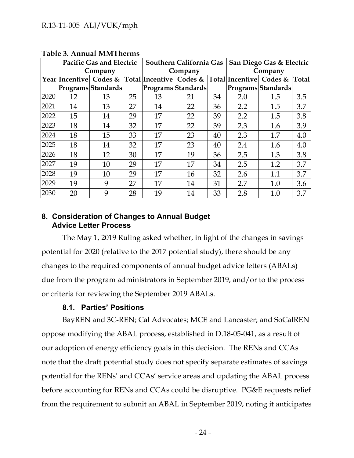|      |    | <b>Pacific Gas and Electric</b>                                             |    | Southern California Gas |                    |    | San Diego Gas & Electric |                    |       |  |
|------|----|-----------------------------------------------------------------------------|----|-------------------------|--------------------|----|--------------------------|--------------------|-------|--|
|      |    | Company                                                                     |    | Company                 |                    |    | Company                  |                    |       |  |
|      |    | Year Incentive  Codes &  Total Incentive  Codes &  Total Incentive  Codes & |    |                         |                    |    |                          |                    | Total |  |
|      |    | Programs Standards                                                          |    |                         | Programs Standards |    |                          | Programs Standards |       |  |
| 2020 | 12 | 13                                                                          | 25 | 13                      | 21                 | 34 | 2.0                      | 1.5                | 3.5   |  |
| 2021 | 14 | 13                                                                          | 27 | 14                      | 22                 | 36 | 2.2                      | 1.5                | 3.7   |  |
| 2022 | 15 | 14                                                                          | 29 | 17                      | 22                 | 39 | 2.2                      | 1.5                | 3.8   |  |
| 2023 | 18 | 14                                                                          | 32 | 17                      | 22                 | 39 | 2.3                      | 1.6                | 3.9   |  |
| 2024 | 18 | 15                                                                          | 33 | 17                      | 23                 | 40 | 2.3                      | 1.7                | 4.0   |  |
| 2025 | 18 | 14                                                                          | 32 | 17                      | 23                 | 40 | 2.4                      | 1.6                | 4.0   |  |
| 2026 | 18 | 12                                                                          | 30 | 17                      | 19                 | 36 | 2.5                      | 1.3                | 3.8   |  |
| 2027 | 19 | 10                                                                          | 29 | 17                      | 17                 | 34 | 2.5                      | 1.2                | 3.7   |  |
| 2028 | 19 | 10                                                                          | 29 | 17                      | 16                 | 32 | 2.6                      | 1.1                | 3.7   |  |
| 2029 | 19 | 9                                                                           | 27 | 17                      | 14                 | 31 | 2.7                      | 1.0                | 3.6   |  |
| 2030 | 20 | 9                                                                           | 28 | 19                      | 14                 | 33 | 2.8                      | 1.0                | 3.7   |  |

**Table 3. Annual MMTherms**

## <span id="page-24-0"></span>**8. Consideration of Changes to Annual Budget Advice Letter Process**

The May 1, 2019 Ruling asked whether, in light of the changes in savings potential for 2020 (relative to the 2017 potential study), there should be any changes to the required components of annual budget advice letters (ABALs) due from the program administrators in September 2019, and/or to the process or criteria for reviewing the September 2019 ABALs.

## **8.1. Parties' Positions**

<span id="page-24-1"></span>BayREN and 3C-REN; Cal Advocates; MCE and Lancaster; and SoCalREN oppose modifying the ABAL process, established in D.18-05-041, as a result of our adoption of energy efficiency goals in this decision. The RENs and CCAs note that the draft potential study does not specify separate estimates of savings potential for the RENs' and CCAs' service areas and updating the ABAL process before accounting for RENs and CCAs could be disruptive. PG&E requests relief from the requirement to submit an ABAL in September 2019, noting it anticipates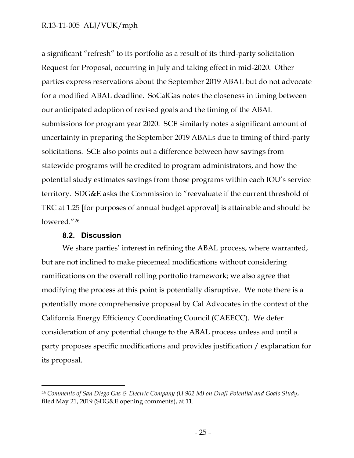a significant "refresh" to its portfolio as a result of its third-party solicitation Request for Proposal, occurring in July and taking effect in mid-2020. Other parties express reservations about the September 2019 ABAL but do not advocate for a modified ABAL deadline. SoCalGas notes the closeness in timing between our anticipated adoption of revised goals and the timing of the ABAL submissions for program year 2020. SCE similarly notes a significant amount of uncertainty in preparing the September 2019 ABALs due to timing of third-party solicitations. SCE also points out a difference between how savings from statewide programs will be credited to program administrators, and how the potential study estimates savings from those programs within each IOU's service territory. SDG&E asks the Commission to "reevaluate if the current threshold of TRC at 1.25 [for purposes of annual budget approval] is attainable and should be lowered."<sup>26</sup>

#### **8.2. Discussion**

 $\overline{a}$ 

<span id="page-25-0"></span>We share parties' interest in refining the ABAL process, where warranted, but are not inclined to make piecemeal modifications without considering ramifications on the overall rolling portfolio framework; we also agree that modifying the process at this point is potentially disruptive. We note there is a potentially more comprehensive proposal by Cal Advocates in the context of the California Energy Efficiency Coordinating Council (CAEECC). We defer consideration of any potential change to the ABAL process unless and until a party proposes specific modifications and provides justification / explanation for its proposal.

<sup>26</sup> *Comments of San Diego Gas & Electric Company (U 902 M) on Draft Potential and Goals Study*, filed May 21, 2019 (SDG&E opening comments), at 11.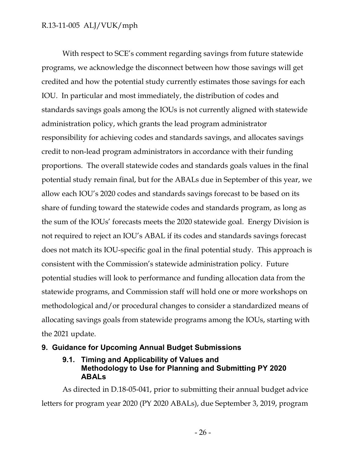With respect to SCE's comment regarding savings from future statewide programs, we acknowledge the disconnect between how those savings will get credited and how the potential study currently estimates those savings for each IOU. In particular and most immediately, the distribution of codes and standards savings goals among the IOUs is not currently aligned with statewide administration policy, which grants the lead program administrator responsibility for achieving codes and standards savings, and allocates savings credit to non-lead program administrators in accordance with their funding proportions. The overall statewide codes and standards goals values in the final potential study remain final, but for the ABALs due in September of this year, we allow each IOU's 2020 codes and standards savings forecast to be based on its share of funding toward the statewide codes and standards program, as long as the sum of the IOUs' forecasts meets the 2020 statewide goal. Energy Division is not required to reject an IOU's ABAL if its codes and standards savings forecast does not match its IOU-specific goal in the final potential study. This approach is consistent with the Commission's statewide administration policy. Future potential studies will look to performance and funding allocation data from the statewide programs, and Commission staff will hold one or more workshops on methodological and/or procedural changes to consider a standardized means of allocating savings goals from statewide programs among the IOUs, starting with the 2021 update.

## <span id="page-26-1"></span><span id="page-26-0"></span>**9. Guidance for Upcoming Annual Budget Submissions**

## **9.1. Timing and Applicability of Values and Methodology to Use for Planning and Submitting PY 2020 ABALs**

As directed in D.18-05-041, prior to submitting their annual budget advice letters for program year 2020 (PY 2020 ABALs), due September 3, 2019, program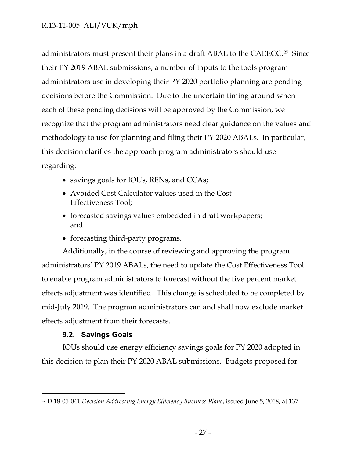administrators must present their plans in a draft ABAL to the CAEECC.27 Since their PY 2019 ABAL submissions, a number of inputs to the tools program administrators use in developing their PY 2020 portfolio planning are pending decisions before the Commission. Due to the uncertain timing around when each of these pending decisions will be approved by the Commission, we recognize that the program administrators need clear guidance on the values and methodology to use for planning and filing their PY 2020 ABALs. In particular, this decision clarifies the approach program administrators should use regarding:

- savings goals for IOUs, RENs, and CCAs;
- Avoided Cost Calculator values used in the Cost Effectiveness Tool;
- forecasted savings values embedded in draft workpapers; and
- forecasting third-party programs.

Additionally, in the course of reviewing and approving the program administrators' PY 2019 ABALs, the need to update the Cost Effectiveness Tool to enable program administrators to forecast without the five percent market effects adjustment was identified. This change is scheduled to be completed by mid-July 2019. The program administrators can and shall now exclude market effects adjustment from their forecasts.

#### **9.2. Savings Goals**

 $\overline{a}$ 

<span id="page-27-0"></span>IOUs should use energy efficiency savings goals for PY 2020 adopted in this decision to plan their PY 2020 ABAL submissions. Budgets proposed for

<sup>27</sup> D.18-05-041 *Decision Addressing Energy Efficiency Business Plans*, issued June 5, 2018, at 137.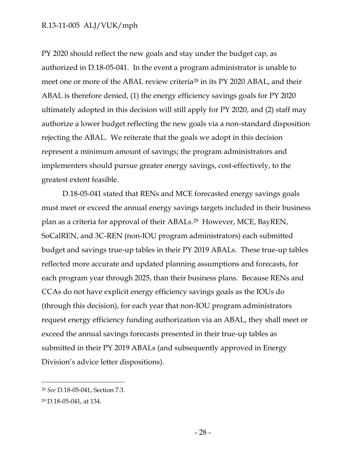PY 2020 should reflect the new goals and stay under the budget cap, as authorized in D.18-05-041. In the event a program administrator is unable to meet one or more of the ABAL review criteria<sup>28</sup> in its PY 2020 ABAL, and their ABAL is therefore denied, (1) the energy efficiency savings goals for PY 2020 ultimately adopted in this decision will still apply for PY 2020, and (2) staff may authorize a lower budget reflecting the new goals via a non-standard disposition rejecting the ABAL. We reiterate that the goals we adopt in this decision represent a minimum amount of savings; the program administrators and implementers should pursue greater energy savings, cost-effectively, to the greatest extent feasible.

D.18-05-041 stated that RENs and MCE forecasted energy savings goals must meet or exceed the annual energy savings targets included in their business plan as a criteria for approval of their ABALs.29 However, MCE, BayREN, SoCalREN, and 3C-REN (non-IOU program administrators) each submitted budget and savings true-up tables in their PY 2019 ABALs. These true-up tables reflected more accurate and updated planning assumptions and forecasts, for each program year through 2025, than their business plans. Because RENs and CCAs do not have explicit energy efficiency savings goals as the IOUs do (through this decision), for each year that non-IOU program administrators request energy efficiency funding authorization via an ABAL, they shall meet or exceed the annual savings forecasts presented in their true-up tables as submitted in their PY 2019 ABALs (and subsequently approved in Energy Division's advice letter dispositions).

<sup>28</sup> *See* D.18-05-041, Section 7.3.

<sup>29</sup> D.18-05-041, at 134.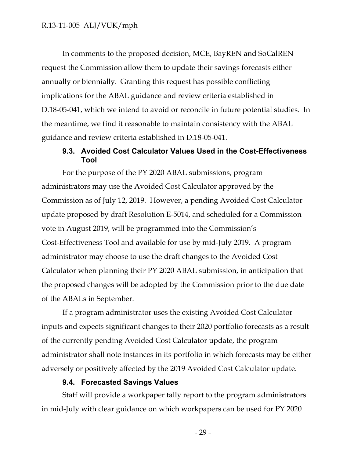In comments to the proposed decision, MCE, BayREN and SoCalREN request the Commission allow them to update their savings forecasts either annually or biennially. Granting this request has possible conflicting implications for the ABAL guidance and review criteria established in D.18-05-041, which we intend to avoid or reconcile in future potential studies. In the meantime, we find it reasonable to maintain consistency with the ABAL guidance and review criteria established in D.18-05-041.

## **9.3. Avoided Cost Calculator Values Used in the Cost-Effectiveness Tool**

<span id="page-29-0"></span>For the purpose of the PY 2020 ABAL submissions, program administrators may use the Avoided Cost Calculator approved by the Commission as of July 12, 2019. However, a pending Avoided Cost Calculator update proposed by draft Resolution E-5014, and scheduled for a Commission vote in August 2019, will be programmed into the Commission's Cost-Effectiveness Tool and available for use by mid-July 2019. A program administrator may choose to use the draft changes to the Avoided Cost Calculator when planning their PY 2020 ABAL submission, in anticipation that the proposed changes will be adopted by the Commission prior to the due date of the ABALs in September.

If a program administrator uses the existing Avoided Cost Calculator inputs and expects significant changes to their 2020 portfolio forecasts as a result of the currently pending Avoided Cost Calculator update, the program administrator shall note instances in its portfolio in which forecasts may be either adversely or positively affected by the 2019 Avoided Cost Calculator update.

#### **9.4. Forecasted Savings Values**

<span id="page-29-1"></span>Staff will provide a workpaper tally report to the program administrators in mid-July with clear guidance on which workpapers can be used for PY 2020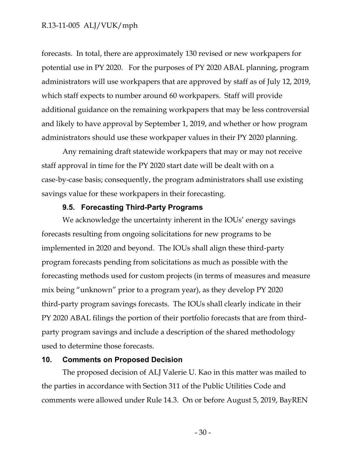forecasts. In total, there are approximately 130 revised or new workpapers for potential use in PY 2020. For the purposes of PY 2020 ABAL planning, program administrators will use workpapers that are approved by staff as of July 12, 2019, which staff expects to number around 60 workpapers. Staff will provide additional guidance on the remaining workpapers that may be less controversial and likely to have approval by September 1, 2019, and whether or how program administrators should use these workpaper values in their PY 2020 planning.

Any remaining draft statewide workpapers that may or may not receive staff approval in time for the PY 2020 start date will be dealt with on a case-by-case basis; consequently, the program administrators shall use existing savings value for these workpapers in their forecasting.

## **9.5. Forecasting Third-Party Programs**

<span id="page-30-0"></span>We acknowledge the uncertainty inherent in the IOUs' energy savings forecasts resulting from ongoing solicitations for new programs to be implemented in 2020 and beyond. The IOUs shall align these third-party program forecasts pending from solicitations as much as possible with the forecasting methods used for custom projects (in terms of measures and measure mix being "unknown" prior to a program year), as they develop PY 2020 third-party program savings forecasts. The IOUs shall clearly indicate in their PY 2020 ABAL filings the portion of their portfolio forecasts that are from thirdparty program savings and include a description of the shared methodology used to determine those forecasts.

#### <span id="page-30-1"></span>**10. Comments on Proposed Decision**

The proposed decision of ALJ Valerie U. Kao in this matter was mailed to the parties in accordance with Section 311 of the Public Utilities Code and comments were allowed under Rule 14.3. On or before August 5, 2019, BayREN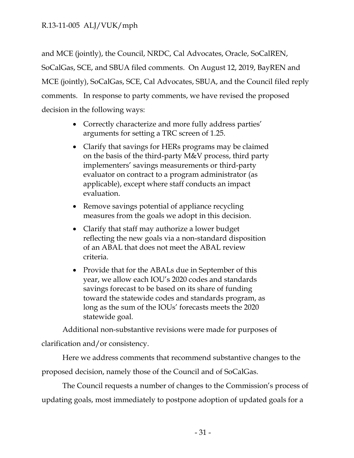and MCE (jointly), the Council, NRDC, Cal Advocates, Oracle, SoCalREN, SoCalGas, SCE, and SBUA filed comments. On August 12, 2019, BayREN and MCE (jointly), SoCalGas, SCE, Cal Advocates, SBUA, and the Council filed reply comments. In response to party comments, we have revised the proposed decision in the following ways:

- Correctly characterize and more fully address parties' arguments for setting a TRC screen of 1.25.
- Clarify that savings for HERs programs may be claimed on the basis of the third-party M&V process, third party implementers' savings measurements or third-party evaluator on contract to a program administrator (as applicable), except where staff conducts an impact evaluation.
- Remove savings potential of appliance recycling measures from the goals we adopt in this decision.
- Clarify that staff may authorize a lower budget reflecting the new goals via a non-standard disposition of an ABAL that does not meet the ABAL review criteria.
- Provide that for the ABALs due in September of this year, we allow each IOU's 2020 codes and standards savings forecast to be based on its share of funding toward the statewide codes and standards program, as long as the sum of the IOUs' forecasts meets the 2020 statewide goal.

Additional non-substantive revisions were made for purposes of

clarification and/or consistency.

Here we address comments that recommend substantive changes to the proposed decision, namely those of the Council and of SoCalGas.

The Council requests a number of changes to the Commission's process of updating goals, most immediately to postpone adoption of updated goals for a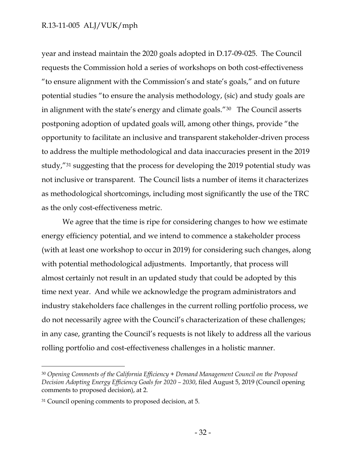year and instead maintain the 2020 goals adopted in D.17-09-025. The Council requests the Commission hold a series of workshops on both cost-effectiveness "to ensure alignment with the Commission's and state's goals," and on future potential studies "to ensure the analysis methodology, (sic) and study goals are in alignment with the state's energy and climate goals."30 The Council asserts postponing adoption of updated goals will, among other things, provide "the opportunity to facilitate an inclusive and transparent stakeholder-driven process to address the multiple methodological and data inaccuracies present in the 2019 study,"<sup>31</sup> suggesting that the process for developing the 2019 potential study was not inclusive or transparent. The Council lists a number of items it characterizes as methodological shortcomings, including most significantly the use of the TRC as the only cost-effectiveness metric.

We agree that the time is ripe for considering changes to how we estimate energy efficiency potential, and we intend to commence a stakeholder process (with at least one workshop to occur in 2019) for considering such changes, along with potential methodological adjustments. Importantly, that process will almost certainly not result in an updated study that could be adopted by this time next year. And while we acknowledge the program administrators and industry stakeholders face challenges in the current rolling portfolio process, we do not necessarily agree with the Council's characterization of these challenges; in any case, granting the Council's requests is not likely to address all the various rolling portfolio and cost-effectiveness challenges in a holistic manner.

<sup>30</sup> *Opening Comments of the California Efficiency + Demand Management Council on the Proposed Decision Adopting Energy Efficiency Goals for 2020 – 2030*, filed August 5, 2019 (Council opening comments to proposed decision), at 2.

<sup>31</sup> Council opening comments to proposed decision, at 5.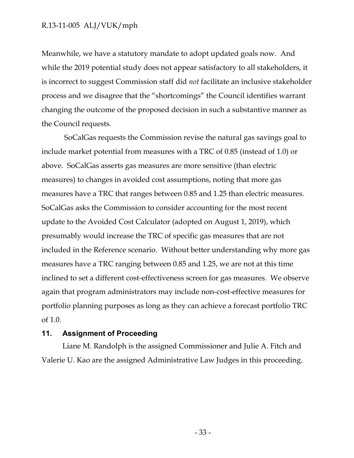Meanwhile, we have a statutory mandate to adopt updated goals now. And while the 2019 potential study does not appear satisfactory to all stakeholders, it is incorrect to suggest Commission staff did *not* facilitate an inclusive stakeholder process and we disagree that the "shortcomings" the Council identifies warrant changing the outcome of the proposed decision in such a substantive manner as the Council requests.

SoCalGas requests the Commission revise the natural gas savings goal to include market potential from measures with a TRC of 0.85 (instead of 1.0) or above. SoCalGas asserts gas measures are more sensitive (than electric measures) to changes in avoided cost assumptions, noting that more gas measures have a TRC that ranges between 0.85 and 1.25 than electric measures. SoCalGas asks the Commission to consider accounting for the most recent update to the Avoided Cost Calculator (adopted on August 1, 2019), which presumably would increase the TRC of specific gas measures that are not included in the Reference scenario. Without better understanding why more gas measures have a TRC ranging between 0.85 and 1.25, we are not at this time inclined to set a different cost-effectiveness screen for gas measures. We observe again that program administrators may include non-cost-effective measures for portfolio planning purposes as long as they can achieve a forecast portfolio TRC of 1.0.

#### <span id="page-33-0"></span>**11. Assignment of Proceeding**

Liane M. Randolph is the assigned Commissioner and Julie A. Fitch and Valerie U. Kao are the assigned Administrative Law Judges in this proceeding.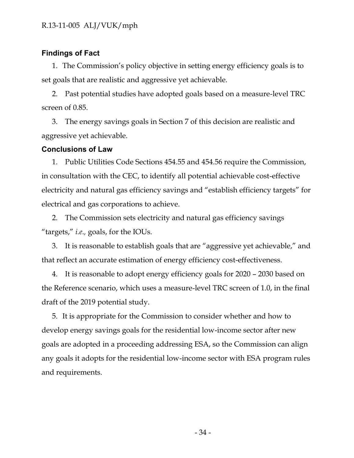## <span id="page-34-0"></span>**Findings of Fact**

1. The Commission's policy objective in setting energy efficiency goals is to set goals that are realistic and aggressive yet achievable.

2. Past potential studies have adopted goals based on a measure-level TRC screen of 0.85.

3. The energy savings goals in Section 7 of this decision are realistic and aggressive yet achievable.

## <span id="page-34-1"></span>**Conclusions of Law**

1. Public Utilities Code Sections 454.55 and 454.56 require the Commission, in consultation with the CEC, to identify all potential achievable cost-effective electricity and natural gas efficiency savings and "establish efficiency targets" for electrical and gas corporations to achieve.

2. The Commission sets electricity and natural gas efficiency savings "targets," *i.e.,* goals, for the IOUs.

3. It is reasonable to establish goals that are "aggressive yet achievable," and that reflect an accurate estimation of energy efficiency cost-effectiveness.

4. It is reasonable to adopt energy efficiency goals for 2020 – 2030 based on the Reference scenario, which uses a measure-level TRC screen of 1.0, in the final draft of the 2019 potential study.

5. It is appropriate for the Commission to consider whether and how to develop energy savings goals for the residential low-income sector after new goals are adopted in a proceeding addressing ESA, so the Commission can align any goals it adopts for the residential low-income sector with ESA program rules and requirements.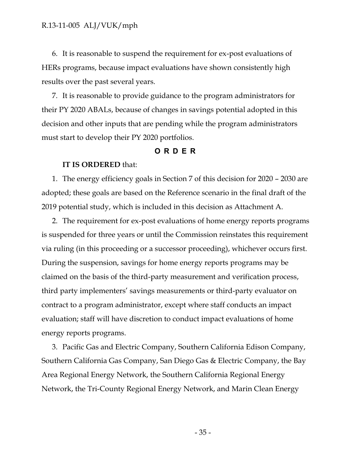6. It is reasonable to suspend the requirement for ex-post evaluations of HERs programs, because impact evaluations have shown consistently high results over the past several years.

7. It is reasonable to provide guidance to the program administrators for their PY 2020 ABALs, because of changes in savings potential adopted in this decision and other inputs that are pending while the program administrators must start to develop their PY 2020 portfolios.

#### **ORDER**

#### <span id="page-35-0"></span>**IT IS ORDERED** that:

1. The energy efficiency goals in Section 7 of this decision for 2020 – 2030 are adopted; these goals are based on the Reference scenario in the final draft of the 2019 potential study, which is included in this decision as Attachment A.

2. The requirement for ex-post evaluations of home energy reports programs is suspended for three years or until the Commission reinstates this requirement via ruling (in this proceeding or a successor proceeding), whichever occurs first. During the suspension, savings for home energy reports programs may be claimed on the basis of the third-party measurement and verification process, third party implementers' savings measurements or third-party evaluator on contract to a program administrator, except where staff conducts an impact evaluation; staff will have discretion to conduct impact evaluations of home energy reports programs.

3. Pacific Gas and Electric Company, Southern California Edison Company, Southern California Gas Company, San Diego Gas & Electric Company, the Bay Area Regional Energy Network, the Southern California Regional Energy Network, the Tri-County Regional Energy Network, and Marin Clean Energy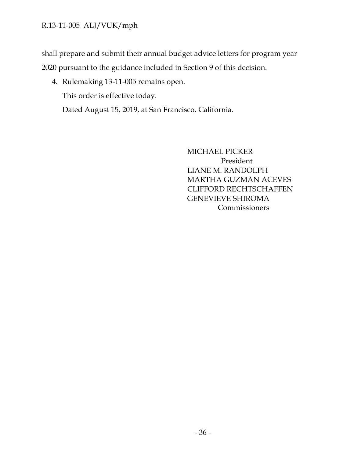shall prepare and submit their annual budget advice letters for program year 2020 pursuant to the guidance included in Section 9 of this decision.

4. Rulemaking 13-11-005 remains open.

This order is effective today.

Dated August 15, 2019, at San Francisco, California.

MICHAEL PICKER President LIANE M. RANDOLPH MARTHA GUZMAN ACEVES CLIFFORD RECHTSCHAFFEN GENEVIEVE SHIROMA Commissioners